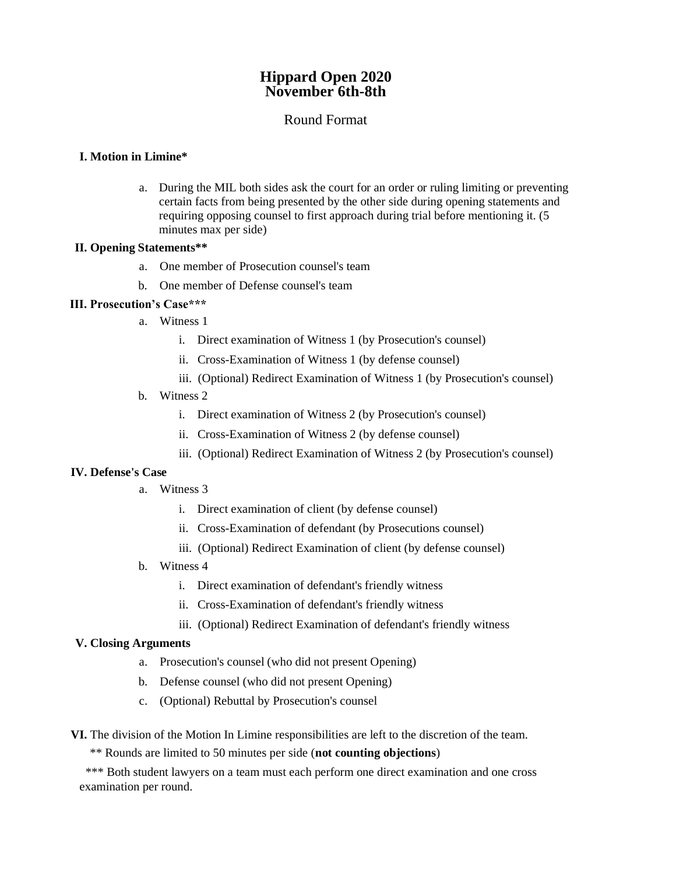# **Hippard Open 2020 November 6th-8th**

## Round Format

#### **I. Motion in Limine\***

a. During the MIL both sides ask the court for an order or ruling limiting or preventing certain facts from being presented by the other side during opening statements and requiring opposing counsel to first approach during trial before mentioning it. (5 minutes max per side)

#### **II. Opening Statements\*\***

- a. One member of Prosecution counsel's team
- b. One member of Defense counsel's team

#### **III. Prosecution's Case\*\*\***

- a. Witness 1
	- i. Direct examination of Witness 1 (by Prosecution's counsel)
	- ii. Cross-Examination of Witness 1 (by defense counsel)
	- iii. (Optional) Redirect Examination of Witness 1 (by Prosecution's counsel)
- b. Witness 2
	- i. Direct examination of Witness 2 (by Prosecution's counsel)
	- ii. Cross-Examination of Witness 2 (by defense counsel)
	- iii. (Optional) Redirect Examination of Witness 2 (by Prosecution's counsel)

#### **IV. Defense's Case**

- a. Witness 3
	- i. Direct examination of client (by defense counsel)
	- ii. Cross-Examination of defendant (by Prosecutions counsel)
	- iii. (Optional) Redirect Examination of client (by defense counsel)
- b. Witness 4
	- i. Direct examination of defendant's friendly witness
	- ii. Cross-Examination of defendant's friendly witness
	- iii. (Optional) Redirect Examination of defendant's friendly witness

#### **V. Closing Arguments**

- a. Prosecution's counsel (who did not present Opening)
- b. Defense counsel (who did not present Opening)
- c. (Optional) Rebuttal by Prosecution's counsel

**VI.** The division of the Motion In Limine responsibilities are left to the discretion of the team.

\*\* Rounds are limited to 50 minutes per side (**not counting objections**)

\*\*\* Both student lawyers on a team must each perform one direct examination and one cross examination per round.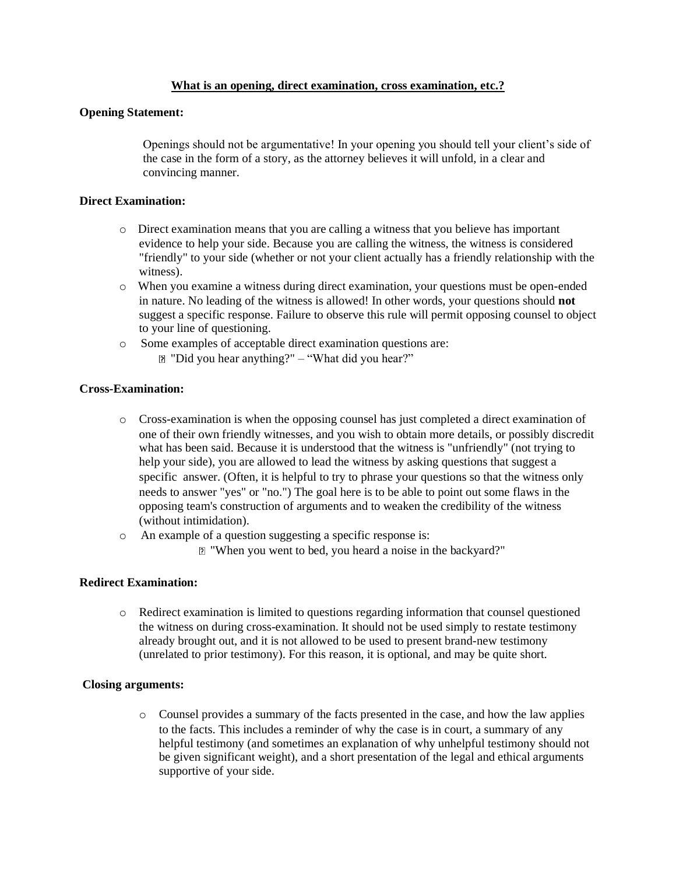#### **What is an opening, direct examination, cross examination, etc.?**

#### **Opening Statement:**

Openings should not be argumentative! In your opening you should tell your client's side of the case in the form of a story, as the attorney believes it will unfold, in a clear and convincing manner.

### **Direct Examination:**

- o Direct examination means that you are calling a witness that you believe has important evidence to help your side. Because you are calling the witness, the witness is considered "friendly" to your side (whether or not your client actually has a friendly relationship with the witness).
- o When you examine a witness during direct examination, your questions must be open-ended in nature. No leading of the witness is allowed! In other words, your questions should **not**  suggest a specific response. Failure to observe this rule will permit opposing counsel to object to your line of questioning.
- o Some examples of acceptable direct examination questions are: "Did you hear anything?" – "What did you hear?"

### **Cross-Examination:**

- o Cross-examination is when the opposing counsel has just completed a direct examination of one of their own friendly witnesses, and you wish to obtain more details, or possibly discredit what has been said. Because it is understood that the witness is "unfriendly" (not trying to help your side), you are allowed to lead the witness by asking questions that suggest a specific answer. (Often, it is helpful to try to phrase your questions so that the witness only needs to answer "yes" or "no.") The goal here is to be able to point out some flaws in the opposing team's construction of arguments and to weaken the credibility of the witness (without intimidation).
- o An example of a question suggesting a specific response is:
	- "When you went to bed, you heard a noise in the backyard?"

#### **Redirect Examination:**

o Redirect examination is limited to questions regarding information that counsel questioned the witness on during cross-examination. It should not be used simply to restate testimony already brought out, and it is not allowed to be used to present brand-new testimony (unrelated to prior testimony). For this reason, it is optional, and may be quite short.

#### **Closing arguments:**

o Counsel provides a summary of the facts presented in the case, and how the law applies to the facts. This includes a reminder of why the case is in court, a summary of any helpful testimony (and sometimes an explanation of why unhelpful testimony should not be given significant weight), and a short presentation of the legal and ethical arguments supportive of your side.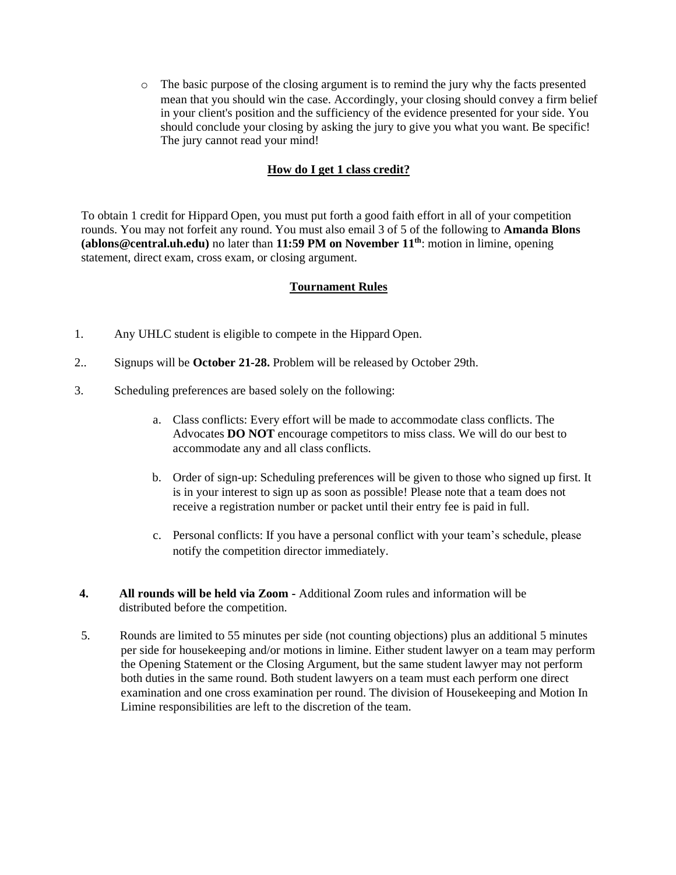o The basic purpose of the closing argument is to remind the jury why the facts presented mean that you should win the case. Accordingly, your closing should convey a firm belief in your client's position and the sufficiency of the evidence presented for your side. You should conclude your closing by asking the jury to give you what you want. Be specific! The jury cannot read your mind!

### **How do I get 1 class credit?**

To obtain 1 credit for Hippard Open, you must put forth a good faith effort in all of your competition rounds. You may not forfeit any round. You must also email 3 of 5 of the following to **Amanda Blons (ablons@central.uh.edu)** no later than **11:59 PM on November 11th**: motion in limine, opening statement, direct exam, cross exam, or closing argument.

### **Tournament Rules**

- 1. Any UHLC student is eligible to compete in the Hippard Open.
- 2.. Signups will be **October 21-28.** Problem will be released by October 29th.
- 3. Scheduling preferences are based solely on the following:
	- a. Class conflicts: Every effort will be made to accommodate class conflicts. The Advocates **DO NOT** encourage competitors to miss class. We will do our best to accommodate any and all class conflicts.
	- b. Order of sign-up: Scheduling preferences will be given to those who signed up first. It is in your interest to sign up as soon as possible! Please note that a team does not receive a registration number or packet until their entry fee is paid in full.
	- c. Personal conflicts: If you have a personal conflict with your team's schedule, please notify the competition director immediately.
- **4. All rounds will be held via Zoom -** Additional Zoom rules and information will be distributed before the competition.
- 5. Rounds are limited to 55 minutes per side (not counting objections) plus an additional 5 minutes per side for housekeeping and/or motions in limine. Either student lawyer on a team may perform the Opening Statement or the Closing Argument, but the same student lawyer may not perform both duties in the same round. Both student lawyers on a team must each perform one direct examination and one cross examination per round. The division of Housekeeping and Motion In Limine responsibilities are left to the discretion of the team.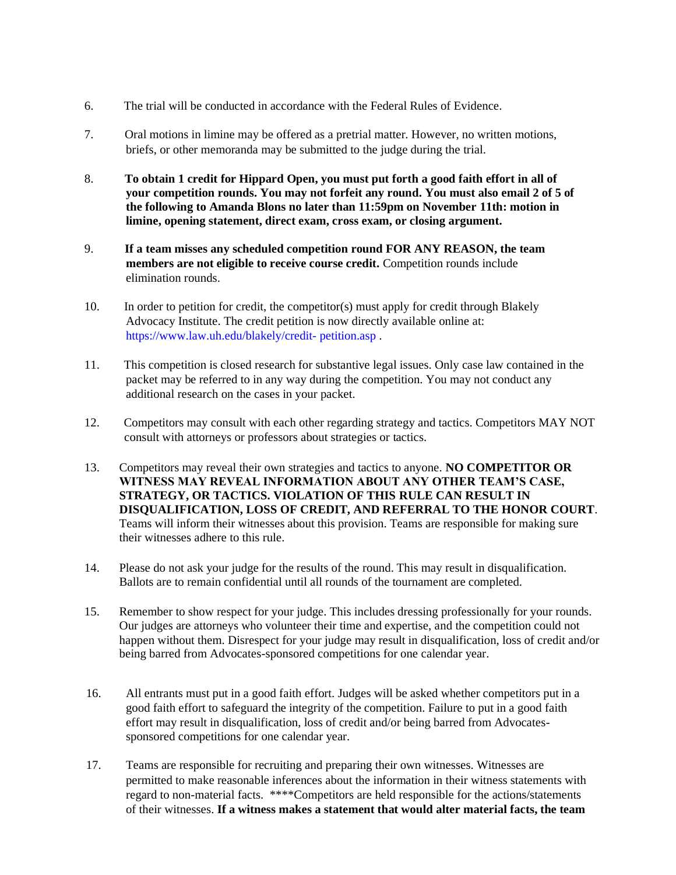- 6. The trial will be conducted in accordance with the Federal Rules of Evidence.
- 7. Oral motions in limine may be offered as a pretrial matter. However, no written motions, briefs, or other memoranda may be submitted to the judge during the trial.
- 8. **To obtain 1 credit for Hippard Open, you must put forth a good faith effort in all of your competition rounds. You may not forfeit any round. You must also email 2 of 5 of the following to Amanda Blons no later than 11:59pm on November 11th: motion in limine, opening statement, direct exam, cross exam, or closing argument.**
- 9. **If a team misses any scheduled competition round FOR ANY REASON, the team members are not eligible to receive course credit.** Competition rounds include elimination rounds.
- 10. In order to petition for credit, the competitor(s) must apply for credit through Blakely Advocacy Institute. The credit petition is now directly available online at: [https://www.law.uh.edu/blakely/credit-](http://www.law.uh.edu/blakely/credit-) petition.asp [.](http://www.law.uh.edu/blakely/credit-)
- 11. This competition is closed research for substantive legal issues. Only case law contained in the packet may be referred to in any way during the competition. You may not conduct any additional research on the cases in your packet.
- 12. Competitors may consult with each other regarding strategy and tactics. Competitors MAY NOT consult with attorneys or professors about strategies or tactics.
- 13. Competitors may reveal their own strategies and tactics to anyone. **NO COMPETITOR OR WITNESS MAY REVEAL INFORMATION ABOUT ANY OTHER TEAM'S CASE, STRATEGY, OR TACTICS. VIOLATION OF THIS RULE CAN RESULT IN DISQUALIFICATION, LOSS OF CREDIT, AND REFERRAL TO THE HONOR COURT**. Teams will inform their witnesses about this provision. Teams are responsible for making sure their witnesses adhere to this rule.
- 14. Please do not ask your judge for the results of the round. This may result in disqualification. Ballots are to remain confidential until all rounds of the tournament are completed.
- 15. Remember to show respect for your judge. This includes dressing professionally for your rounds. Our judges are attorneys who volunteer their time and expertise, and the competition could not happen without them. Disrespect for your judge may result in disqualification, loss of credit and/or being barred from Advocates-sponsored competitions for one calendar year.
- 16. All entrants must put in a good faith effort. Judges will be asked whether competitors put in a good faith effort to safeguard the integrity of the competition. Failure to put in a good faith effort may result in disqualification, loss of credit and/or being barred from Advocatessponsored competitions for one calendar year.
- 17. Teams are responsible for recruiting and preparing their own witnesses. Witnesses are permitted to make reasonable inferences about the information in their witness statements with regard to non-material facts. \*\*\*\*Competitors are held responsible for the actions/statements of their witnesses. **If a witness makes a statement that would alter material facts, the team**